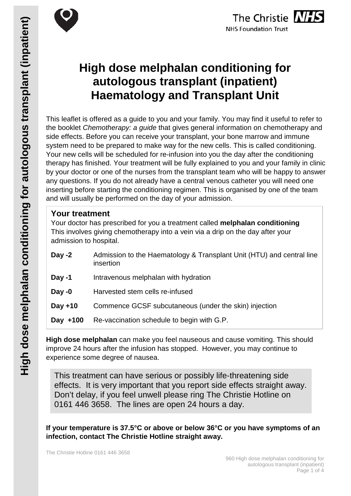

# **High dose melphalan conditioning for autologous transplant (inpatient) Haematology and Transplant Unit**

This leaflet is offered as a guide to you and your family. You may find it useful to refer to the booklet *Chemotherapy: a guide* that gives general information on chemotherapy and side effects. Before you can receive your transplant, your bone marrow and immune system need to be prepared to make way for the new cells. This is called conditioning. Your new cells will be scheduled for re-infusion into you the day after the conditioning therapy has finished. Your treatment will be fully explained to you and your family in clinic by your doctor or one of the nurses from the transplant team who will be happy to answer any questions. If you do not already have a central venous catheter you will need one inserting before starting the conditioning regimen. This is organised by one of the team and will usually be performed on the day of your admission.

### **Your treatment**

Your doctor has prescribed for you a treatment called **melphalan conditioning** This involves giving chemotherapy into a vein via a drip on the day after your admission to hospital.

| Day $-2$  | Admission to the Haematology & Transplant Unit (HTU) and central line<br>insertion |  |
|-----------|------------------------------------------------------------------------------------|--|
| Day -1    | Intravenous melphalan with hydration                                               |  |
| Day $-0$  | Harvested stem cells re-infused                                                    |  |
| Day $+10$ | Commence GCSF subcutaneous (under the skin) injection                              |  |
| Day +100  | Re-vaccination schedule to begin with G.P.                                         |  |

**High dose melphalan** can make you feel nauseous and cause vomiting. This should improve 24 hours after the infusion has stopped. However, you may continue to experience some degree of nausea.

This treatment can have serious or possibly life-threatening side effects. It is very important that you report side effects straight away. Don't delay, if you feel unwell please ring The Christie Hotline on 0161 446 3658. The lines are open 24 hours a day.

**If your temperature is 37.5°C or above or below 36°C or you have symptoms of an infection, contact The Christie Hotline straight away.**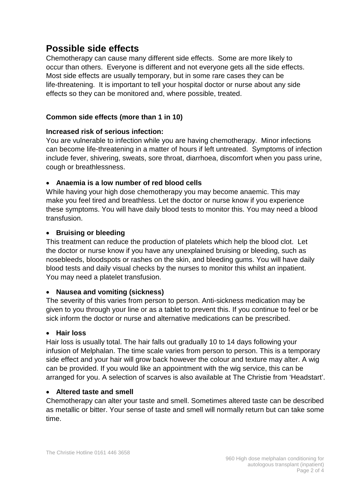### **Possible side effects**

Chemotherapy can cause many different side effects. Some are more likely to occur than others. Everyone is different and not everyone gets all the side effects. Most side effects are usually temporary, but in some rare cases they can be life-threatening. It is important to tell your hospital doctor or nurse about any side effects so they can be monitored and, where possible, treated.

#### **Common side effects (more than 1 in 10)**

#### **Increased risk of serious infection:**

You are vulnerable to infection while you are having chemotherapy. Minor infections can become life-threatening in a matter of hours if left untreated. Symptoms of infection include fever, shivering, sweats, sore throat, diarrhoea, discomfort when you pass urine, cough or breathlessness.

#### • **Anaemia is a low number of red blood cells**

While having your high dose chemotherapy you may become anaemic. This may make you feel tired and breathless. Let the doctor or nurse know if you experience these symptoms. You will have daily blood tests to monitor this. You may need a blood transfusion.

#### • **Bruising or bleeding**

This treatment can reduce the production of platelets which help the blood clot. Let the doctor or nurse know if you have any unexplained bruising or bleeding, such as nosebleeds, bloodspots or rashes on the skin, and bleeding gums. You will have daily blood tests and daily visual checks by the nurses to monitor this whilst an inpatient. You may need a platelet transfusion.

#### • **Nausea and vomiting (sickness)**

The severity of this varies from person to person. Anti-sickness medication may be given to you through your line or as a tablet to prevent this. If you continue to feel or be sick inform the doctor or nurse and alternative medications can be prescribed.

#### • **Hair loss**

Hair loss is usually total. The hair falls out gradually 10 to 14 days following your infusion of Melphalan. The time scale varies from person to person. This is a temporary side effect and your hair will grow back however the colour and texture may alter. A wig can be provided. If you would like an appointment with the wig service, this can be arranged for you. A selection of scarves is also available at The Christie from 'Headstart'.

#### • **Altered taste and smell**

Chemotherapy can alter your taste and smell. Sometimes altered taste can be described as metallic or bitter. Your sense of taste and smell will normally return but can take some time.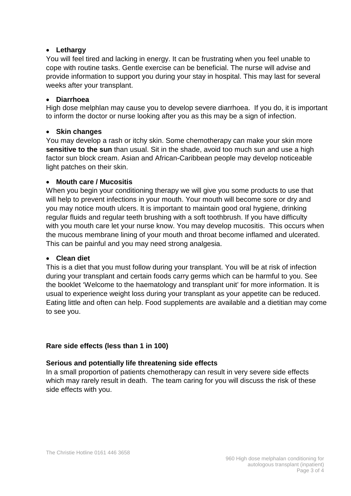#### • **Lethargy**

You will feel tired and lacking in energy. It can be frustrating when you feel unable to cope with routine tasks. Gentle exercise can be beneficial. The nurse will advise and provide information to support you during your stay in hospital. This may last for several weeks after your transplant.

#### • **Diarrhoea**

High dose melphlan may cause you to develop severe diarrhoea. If you do, it is important to inform the doctor or nurse looking after you as this may be a sign of infection.

#### • **Skin changes**

You may develop a rash or itchy skin. Some chemotherapy can make your skin more **sensitive to the sun** than usual. Sit in the shade, avoid too much sun and use a high factor sun block cream. Asian and African-Caribbean people may develop noticeable light patches on their skin.

#### • **Mouth care / Mucositis**

When you begin your conditioning therapy we will give you some products to use that will help to prevent infections in your mouth. Your mouth will become sore or dry and you may notice mouth ulcers. It is important to maintain good oral hygiene, drinking regular fluids and regular teeth brushing with a soft toothbrush. If you have difficulty with you mouth care let your nurse know. You may develop mucositis. This occurs when the mucous membrane lining of your mouth and throat become inflamed and ulcerated. This can be painful and you may need strong analgesia.

#### • **Clean diet**

This is a diet that you must follow during your transplant. You will be at risk of infection during your transplant and certain foods carry germs which can be harmful to you. See the booklet 'Welcome to the haematology and transplant unit' for more information. It is usual to experience weight loss during your transplant as your appetite can be reduced. Eating little and often can help. Food supplements are available and a dietitian may come to see you.

#### **Rare side effects (less than 1 in 100)**

#### **Serious and potentially life threatening side effects**

In a small proportion of patients chemotherapy can result in very severe side effects which may rarely result in death. The team caring for you will discuss the risk of these side effects with you.